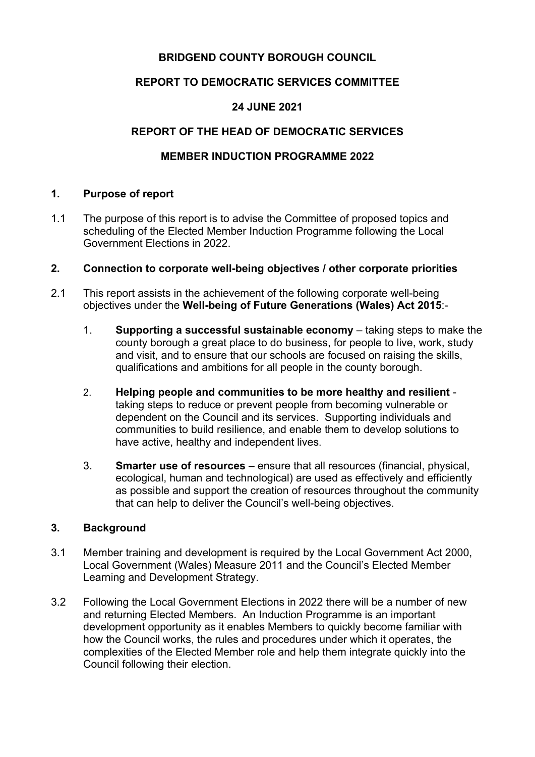# **BRIDGEND COUNTY BOROUGH COUNCIL**

# **REPORT TO DEMOCRATIC SERVICES COMMITTEE**

# **24 JUNE 2021**

# **REPORT OF THE HEAD OF DEMOCRATIC SERVICES**

# **MEMBER INDUCTION PROGRAMME 2022**

### **1. Purpose of report**

1.1 The purpose of this report is to advise the Committee of proposed topics and scheduling of the Elected Member Induction Programme following the Local Government Elections in 2022.

### **2. Connection to corporate well-being objectives / other corporate priorities**

- 2.1 This report assists in the achievement of the following corporate well-being objectives under the **Well-being of Future Generations (Wales) Act 2015**:-
	- 1. **Supporting a successful sustainable economy** taking steps to make the county borough a great place to do business, for people to live, work, study and visit, and to ensure that our schools are focused on raising the skills, qualifications and ambitions for all people in the county borough.
	- 2. **Helping people and communities to be more healthy and resilient** taking steps to reduce or prevent people from becoming vulnerable or dependent on the Council and its services. Supporting individuals and communities to build resilience, and enable them to develop solutions to have active, healthy and independent lives.
	- 3. **Smarter use of resources** ensure that all resources (financial, physical, ecological, human and technological) are used as effectively and efficiently as possible and support the creation of resources throughout the community that can help to deliver the Council's well-being objectives.

### **3. Background**

- 3.1 Member training and development is required by the Local Government Act 2000, Local Government (Wales) Measure 2011 and the Council's Elected Member Learning and Development Strategy.
- 3.2 Following the Local Government Elections in 2022 there will be a number of new and returning Elected Members. An Induction Programme is an important development opportunity as it enables Members to quickly become familiar with how the Council works, the rules and procedures under which it operates, the complexities of the Elected Member role and help them integrate quickly into the Council following their election.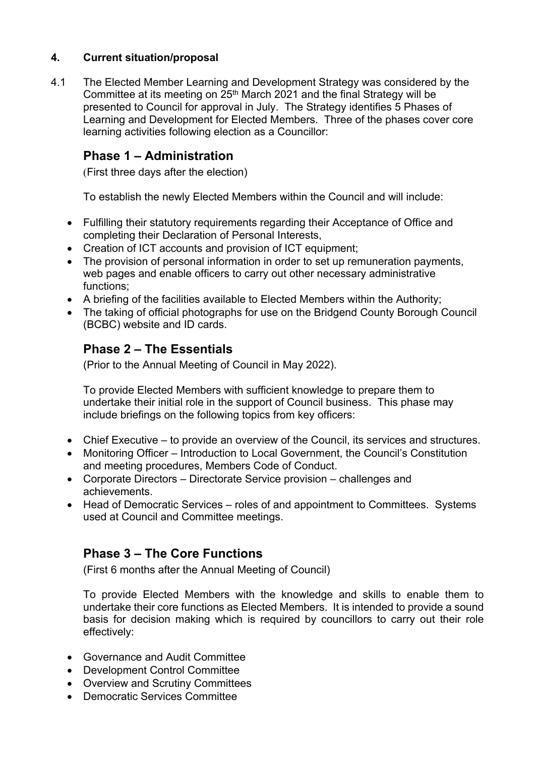# **4. Current situation/proposal**

4.1 The Elected Member Learning and Development Strategy was considered by the Committee at its meeting on  $25<sup>th</sup>$  March 2021 and the final Strategy will be presented to Council for approval in July. The Strategy identifies 5 Phases of Learning and Development for Elected Members. Three of the phases cover core learning activities following election as a Councillor:

# **Phase 1 – Administration**

(First three days after the election)

To establish the newly Elected Members within the Council and will include:

- Fulfilling their statutory requirements regarding their Acceptance of Office and completing their Declaration of Personal Interests,
- Creation of ICT accounts and provision of ICT equipment;
- The provision of personal information in order to set up remuneration payments, web pages and enable officers to carry out other necessary administrative functions;
- A briefing of the facilities available to Elected Members within the Authority;
- The taking of official photographs for use on the Bridgend County Borough Council (BCBC) website and ID cards.

# **Phase 2 – The Essentials**

(Prior to the Annual Meeting of Council in May 2022).

To provide Elected Members with sufficient knowledge to prepare them to undertake their initial role in the support of Council business. This phase may include briefings on the following topics from key officers:

- Chief Executive to provide an overview of the Council, its services and structures.
- Monitoring Officer Introduction to Local Government, the Council's Constitution and meeting procedures, Members Code of Conduct.
- Corporate Directors Directorate Service provision challenges and achievements.
- Head of Democratic Services roles of and appointment to Committees. Systems used at Council and Committee meetings.

# **Phase 3 – The Core Functions**

(First 6 months after the Annual Meeting of Council)

To provide Elected Members with the knowledge and skills to enable them to undertake their core functions as Elected Members. It is intended to provide a sound basis for decision making which is required by councillors to carry out their role effectively:

- Governance and Audit Committee
- Development Control Committee
- Overview and Scrutiny Committees
- Democratic Services Committee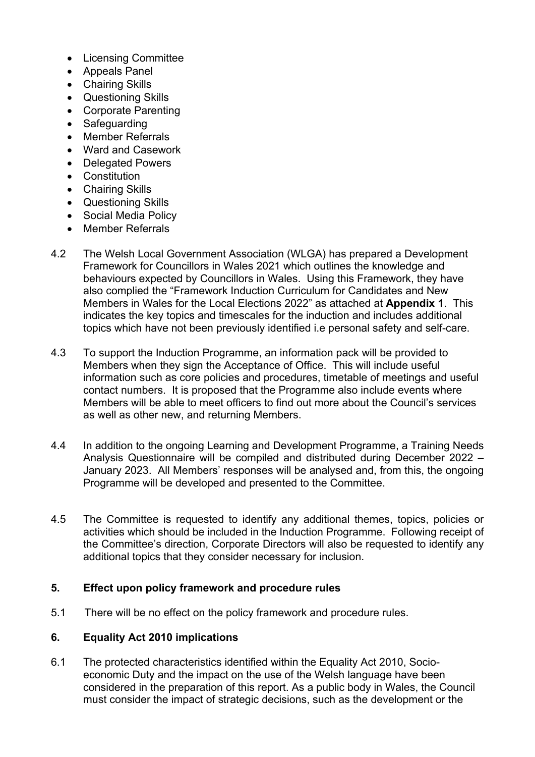- Licensing Committee
- Appeals Panel
- Chairing Skills
- Questioning Skills
- Corporate Parenting
- Safeguarding
- Member Referrals
- Ward and Casework
- Delegated Powers
- Constitution
- Chairing Skills
- Questioning Skills
- Social Media Policy
- Member Referrals
- 4.2 The Welsh Local Government Association (WLGA) has prepared a Development Framework for Councillors in Wales 2021 which outlines the knowledge and behaviours expected by Councillors in Wales. Using this Framework, they have also complied the "Framework Induction Curriculum for Candidates and New Members in Wales for the Local Elections 2022" as attached at **Appendix 1**. This indicates the key topics and timescales for the induction and includes additional topics which have not been previously identified i.e personal safety and self-care.
- 4.3 To support the Induction Programme, an information pack will be provided to Members when they sign the Acceptance of Office. This will include useful information such as core policies and procedures, timetable of meetings and useful contact numbers. It is proposed that the Programme also include events where Members will be able to meet officers to find out more about the Council's services as well as other new, and returning Members.
- 4.4 In addition to the ongoing Learning and Development Programme, a Training Needs Analysis Questionnaire will be compiled and distributed during December 2022 – January 2023. All Members' responses will be analysed and, from this, the ongoing Programme will be developed and presented to the Committee.
- 4.5 The Committee is requested to identify any additional themes, topics, policies or activities which should be included in the Induction Programme. Following receipt of the Committee's direction, Corporate Directors will also be requested to identify any additional topics that they consider necessary for inclusion.

### **5. Effect upon policy framework and procedure rules**

5.1 There will be no effect on the policy framework and procedure rules.

### **6. Equality Act 2010 implications**

6.1 The protected characteristics identified within the Equality Act 2010, Socioeconomic Duty and the impact on the use of the Welsh language have been considered in the preparation of this report. As a public body in Wales, the Council must consider the impact of strategic decisions, such as the development or the